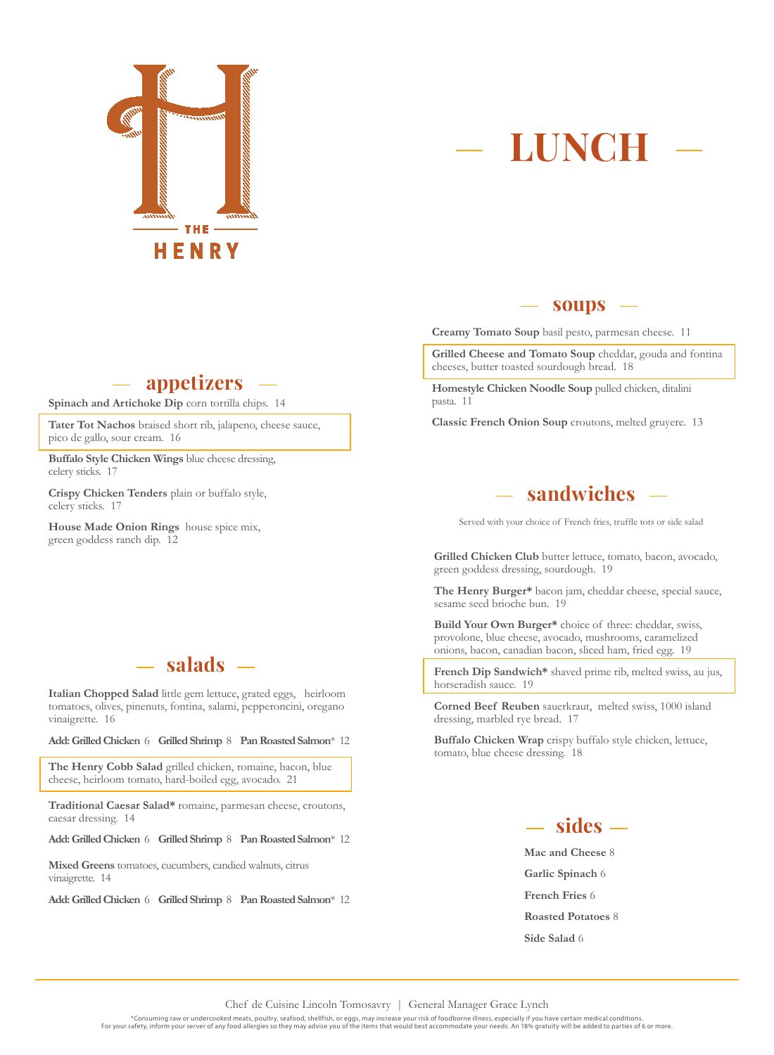

## **LUNCH**

#### **appetizers**

**Spinach and Artichoke Dip** corn tortilla chips. 14

**Tater Tot Nachos** braised short rib, jalapeno, cheese sauce, pico de gallo, sour cream. 16

**Buffalo Style Chicken Wings** blue cheese dressing, celery sticks. 17

**Crispy Chicken Tenders** plain or buffalo style, celery sticks. 17

**House Made Onion Rings** house spice mix, green goddess ranch dip. 12

### **salads**

**Italian Chopped Salad** little gem lettuce, grated eggs, heirloom tomatoes, olives, pinenuts, fontina, salami, pepperoncini, oregano vinaigrette. 16

**Add: Grilled Chicken** 6 **Grilled Shrimp** 8 **Pan Roasted Salmon**\* 12

**The Henry Cobb Salad** grilled chicken, romaine, bacon, blue cheese, heirloom tomato, hard-boiled egg, avocado. 21

**Traditional Caesar Salad\*** romaine, parmesan cheese, croutons, caesar dressing. 14

**Add: Grilled Chicken** 6 **Grilled Shrimp** 8 **Pan Roasted Salmon**\* 12

**Mixed Greens** tomatoes, cucumbers, candied walnuts, citrus vinaigrette. 14

**Add: Grilled Chicken** 6 **Grilled Shrimp** 8 **Pan Roasted Salmon**\* 12

#### **soups**

**Creamy Tomato Soup** basil pesto, parmesan cheese. 11

**Grilled Cheese and Tomato Soup** cheddar, gouda and fontina cheeses, butter toasted sourdough bread. 18

**Homestyle Chicken Noodle Soup** pulled chicken, ditalini pasta. 11

**Classic French Onion Soup** croutons, melted gruyere. 13

### **sandwiches**

Served with your choice of French fries, truffle tots or side salad

**Grilled Chicken Club** butter lettuce, tomato, bacon, avocado, green goddess dressing, sourdough. 19

**The Henry Burger\*** bacon jam, cheddar cheese, special sauce, sesame seed brioche bun. 19

**Build Your Own Burger\*** choice of three: cheddar, swiss, provolone, blue cheese, avocado, mushrooms, caramelized onions, bacon, canadian bacon, sliced ham, fried egg. 19

**French Dip Sandwich\*** shaved prime rib, melted swiss, au jus, horseradish sauce. 19

**Corned Beef Reuben** sauerkraut, melted swiss, 1000 island dressing, marbled rye bread. 17

**Buffalo Chicken Wrap** crispy buffalo style chicken, lettuce, tomato, blue cheese dressing. 18



**Mac and Cheese** 8 **Garlic Spinach** 6 **French Fries** 6 **Roasted Potatoes** 8 **Side Salad** 6

Chef de Cuisine Lincoln Tomosavry | General Manager Grace Lynch

\*Consuming raw or undercooked meats, poultry, seafood, shellfish, or eggs, may increase your risk of foodborne illness, especially if you have certain medical conditions. For your safety, inform your server of any food allergies so they may advise you of the items that would best accommodate your needs. An 18% gratuity will be added to parties of 6 or more.